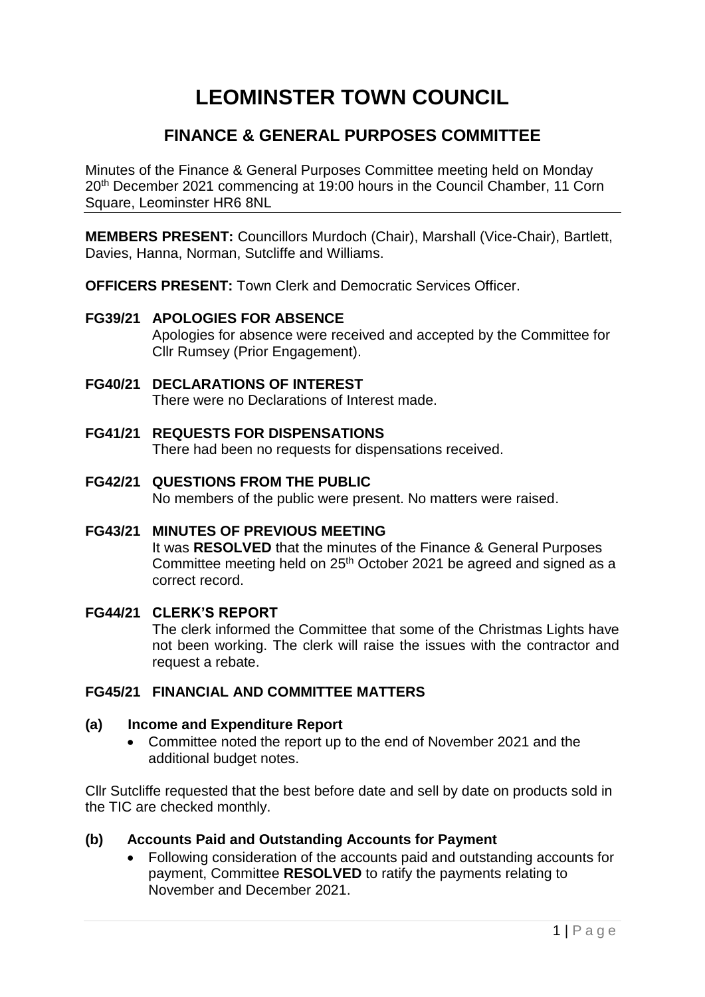# **LEOMINSTER TOWN COUNCIL**

# **FINANCE & GENERAL PURPOSES COMMITTEE**

Minutes of the Finance & General Purposes Committee meeting held on Monday 20<sup>th</sup> December 2021 commencing at 19:00 hours in the Council Chamber, 11 Corn Square, Leominster HR6 8NL

**MEMBERS PRESENT:** Councillors Murdoch (Chair), Marshall (Vice-Chair), Bartlett, Davies, Hanna, Norman, Sutcliffe and Williams.

**OFFICERS PRESENT:** Town Clerk and Democratic Services Officer.

## **FG39/21 APOLOGIES FOR ABSENCE**

Apologies for absence were received and accepted by the Committee for Cllr Rumsey (Prior Engagement).

## **FG40/21 DECLARATIONS OF INTEREST**

There were no Declarations of Interest made.

- **FG41/21 REQUESTS FOR DISPENSATIONS** There had been no requests for dispensations received.
- **FG42/21 QUESTIONS FROM THE PUBLIC** No members of the public were present. No matters were raised.
- **FG43/21 MINUTES OF PREVIOUS MEETING** It was **RESOLVED** that the minutes of the Finance & General Purposes Committee meeting held on 25<sup>th</sup> October 2021 be agreed and signed as a correct record.

## **FG44/21 CLERK'S REPORT** The clerk informed the Committee that some of the Christmas Lights have not been working. The clerk will raise the issues with the contractor and request a rebate.

## **FG45/21 FINANCIAL AND COMMITTEE MATTERS**

#### **(a) Income and Expenditure Report**

 Committee noted the report up to the end of November 2021 and the additional budget notes.

Cllr Sutcliffe requested that the best before date and sell by date on products sold in the TIC are checked monthly.

## **(b) Accounts Paid and Outstanding Accounts for Payment**

 Following consideration of the accounts paid and outstanding accounts for payment, Committee **RESOLVED** to ratify the payments relating to November and December 2021.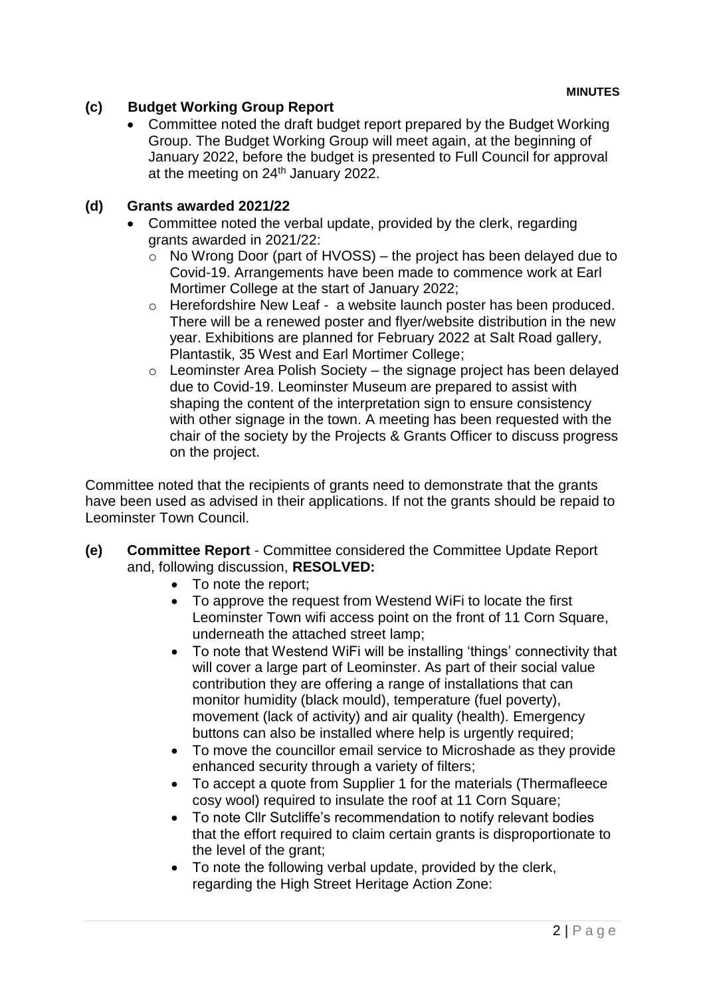# **(c) Budget Working Group Report**

• Committee noted the draft budget report prepared by the Budget Working Group. The Budget Working Group will meet again, at the beginning of January 2022, before the budget is presented to Full Council for approval at the meeting on 24<sup>th</sup> January 2022.

# **(d) Grants awarded 2021/22**

- Committee noted the verbal update, provided by the clerk, regarding grants awarded in 2021/22:
	- $\circ$  No Wrong Door (part of HVOSS) the project has been delayed due to Covid-19. Arrangements have been made to commence work at Earl Mortimer College at the start of January 2022;
	- o Herefordshire New Leaf a website launch poster has been produced. There will be a renewed poster and flyer/website distribution in the new year. Exhibitions are planned for February 2022 at Salt Road gallery, Plantastik, 35 West and Earl Mortimer College;
	- $\circ$  Leominster Area Polish Society the signage project has been delayed due to Covid-19. Leominster Museum are prepared to assist with shaping the content of the interpretation sign to ensure consistency with other signage in the town. A meeting has been requested with the chair of the society by the Projects & Grants Officer to discuss progress on the project.

Committee noted that the recipients of grants need to demonstrate that the grants have been used as advised in their applications. If not the grants should be repaid to Leominster Town Council.

- **(e) Committee Report** Committee considered the Committee Update Report and, following discussion, **RESOLVED:**
	- To note the report:
	- To approve the request from Westend WiFi to locate the first Leominster Town wifi access point on the front of 11 Corn Square, underneath the attached street lamp;
	- To note that Westend WiFi will be installing 'things' connectivity that will cover a large part of Leominster. As part of their social value contribution they are offering a range of installations that can monitor humidity (black mould), temperature (fuel poverty), movement (lack of activity) and air quality (health). Emergency buttons can also be installed where help is urgently required;
	- To move the councillor email service to Microshade as they provide enhanced security through a variety of filters;
	- To accept a quote from Supplier 1 for the materials (Thermafleece cosy wool) required to insulate the roof at 11 Corn Square;
	- To note Cllr Sutcliffe's recommendation to notify relevant bodies that the effort required to claim certain grants is disproportionate to the level of the grant;
	- To note the following verbal update, provided by the clerk, regarding the High Street Heritage Action Zone: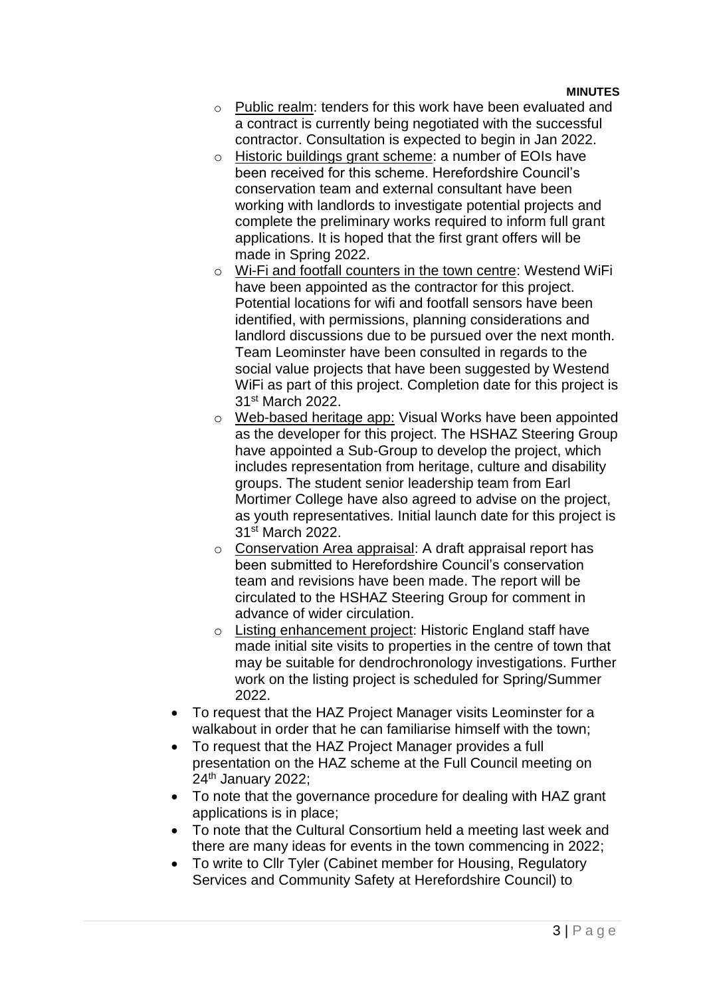#### **MINUTES**

- o Public realm: tenders for this work have been evaluated and a contract is currently being negotiated with the successful contractor. Consultation is expected to begin in Jan 2022.
- o Historic buildings grant scheme: a number of EOIs have been received for this scheme. Herefordshire Council's conservation team and external consultant have been working with landlords to investigate potential projects and complete the preliminary works required to inform full grant applications. It is hoped that the first grant offers will be made in Spring 2022.
- o Wi-Fi and footfall counters in the town centre: Westend WiFi have been appointed as the contractor for this project. Potential locations for wifi and footfall sensors have been identified, with permissions, planning considerations and landlord discussions due to be pursued over the next month. Team Leominster have been consulted in regards to the social value projects that have been suggested by Westend WiFi as part of this project. Completion date for this project is 31st March 2022.
- o Web-based heritage app: Visual Works have been appointed as the developer for this project. The HSHAZ Steering Group have appointed a Sub-Group to develop the project, which includes representation from heritage, culture and disability groups. The student senior leadership team from Earl Mortimer College have also agreed to advise on the project, as youth representatives. Initial launch date for this project is 31st March 2022.
- o Conservation Area appraisal: A draft appraisal report has been submitted to Herefordshire Council's conservation team and revisions have been made. The report will be circulated to the HSHAZ Steering Group for comment in advance of wider circulation.
- o Listing enhancement project: Historic England staff have made initial site visits to properties in the centre of town that may be suitable for dendrochronology investigations. Further work on the listing project is scheduled for Spring/Summer 2022.
- To request that the HAZ Project Manager visits Leominster for a walkabout in order that he can familiarise himself with the town;
- To request that the HAZ Project Manager provides a full presentation on the HAZ scheme at the Full Council meeting on 24<sup>th</sup> January 2022;
- To note that the governance procedure for dealing with HAZ grant applications is in place;
- To note that the Cultural Consortium held a meeting last week and there are many ideas for events in the town commencing in 2022;
- To write to Cllr Tyler (Cabinet member for Housing, Regulatory Services and Community Safety at Herefordshire Council) to